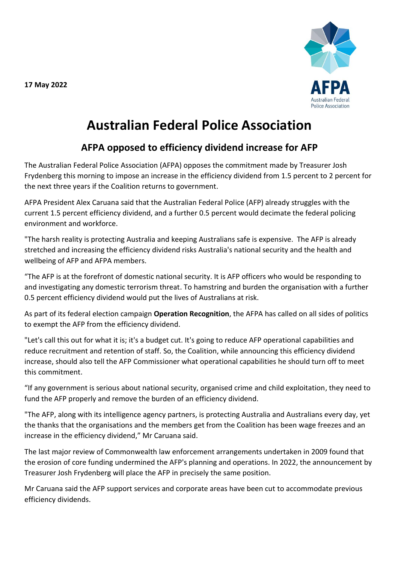**17 May 2022**



## **Australian Federal Police Association**

## **AFPA opposed to efficiency dividend increase for AFP**

The Australian Federal Police Association (AFPA) opposes the commitment made by Treasurer Josh Frydenberg this morning to impose an increase in the efficiency dividend from 1.5 percent to 2 percent for the next three years if the Coalition returns to government.

AFPA President Alex Caruana said that the Australian Federal Police (AFP) already struggles with the current 1.5 percent efficiency dividend, and a further 0.5 percent would decimate the federal policing environment and workforce.

"The harsh reality is protecting Australia and keeping Australians safe is expensive. The AFP is already stretched and increasing the efficiency dividend risks Australia's national security and the health and wellbeing of AFP and AFPA members.

"The AFP is at the forefront of domestic national security. It is AFP officers who would be responding to and investigating any domestic terrorism threat. To hamstring and burden the organisation with a further 0.5 percent efficiency dividend would put the lives of Australians at risk.

As part of its federal election campaign **Operation Recognition**, the AFPA has called on all sides of politics to exempt the AFP from the efficiency dividend.

"Let's call this out for what it is; it's a budget cut. It's going to reduce AFP operational capabilities and reduce recruitment and retention of staff. So, the Coalition, while announcing this efficiency dividend increase, should also tell the AFP Commissioner what operational capabilities he should turn off to meet this commitment.

"If any government is serious about national security, organised crime and child exploitation, they need to fund the AFP properly and remove the burden of an efficiency dividend.

"The AFP, along with its intelligence agency partners, is protecting Australia and Australians every day, yet the thanks that the organisations and the members get from the Coalition has been wage freezes and an increase in the efficiency dividend," Mr Caruana said.

The last major review of Commonwealth law enforcement arrangements undertaken in 2009 found that the erosion of core funding undermined the AFP's planning and operations. In 2022, the announcement by Treasurer Josh Frydenberg will place the AFP in precisely the same position.

Mr Caruana said the AFP support services and corporate areas have been cut to accommodate previous efficiency dividends.